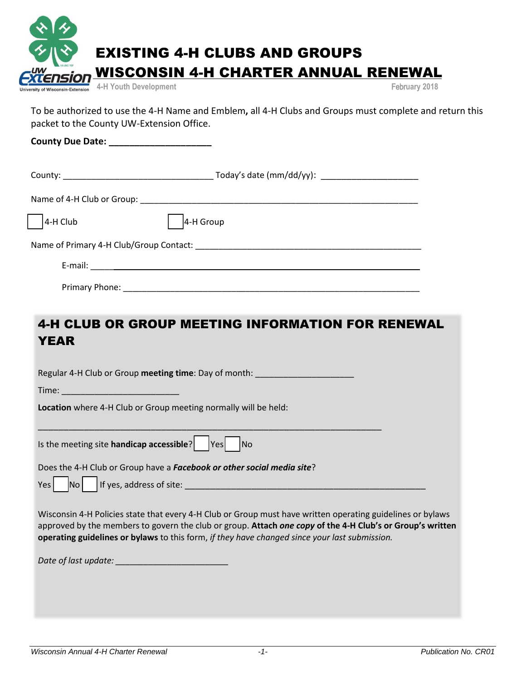| $\sim$ $\sim$ |                                                         |               |
|---------------|---------------------------------------------------------|---------------|
|               | <b>EXISTING 4-H CLUBS AND GROUPS</b>                    |               |
|               | <b>EXTENSION WISCONSIN 4-H CHARTER ANNUAL RENEWAL</b>   |               |
|               | University of Wisconsin-Extension 4-H Youth Development | February 2018 |

To be authorized to use the 4-H Name and Emblem**,** all 4-H Clubs and Groups must complete and return this packet to the County UW-Extension Office.

**County Due Date: \_\_\_\_\_\_\_\_\_\_\_\_\_\_\_\_\_\_\_\_**

| $4-H$ Club     | 4-H Group |
|----------------|-----------|
|                |           |
|                |           |
| Primary Phone: |           |

# 4-H CLUB OR GROUP MEETING INFORMATION FOR RENEWAL YEAR

Regular 4-H Club or Group **meeting time**: Day of month: \_\_\_\_\_\_\_\_\_\_\_\_\_\_\_\_\_\_\_\_\_

\_\_\_\_\_\_\_\_\_\_\_\_\_\_\_\_\_\_\_\_\_\_\_\_\_\_\_\_\_\_\_\_\_\_\_\_\_\_\_\_\_\_\_\_\_\_\_\_\_\_\_\_\_\_\_\_\_\_\_\_\_\_\_\_\_\_\_

Time: \_\_\_\_\_\_\_\_\_\_\_\_\_\_\_\_\_\_\_\_\_\_\_\_\_

**Location** where 4-H Club or Group meeting normally will be held:

| Is the meeting site handicap accessible? | $\vert$ Yes $\vert$ No |  |
|------------------------------------------|------------------------|--|
|                                          |                        |  |

Does the 4-H Club or Group have a *Facebook or other social media site*?

| Yes | N <sub>O</sub> | If yes, address of site: |
|-----|----------------|--------------------------|
|     |                |                          |

Wisconsin 4-H Policies state that every 4-H Club or Group must have written operating guidelines or bylaws approved by the members to govern the club or group. **Attach** *one copy* **of the 4-H Club's or Group's written operating guidelines or bylaws** to this form, *if they have changed since your last submission.* 

| Date of last update: |  |
|----------------------|--|
|----------------------|--|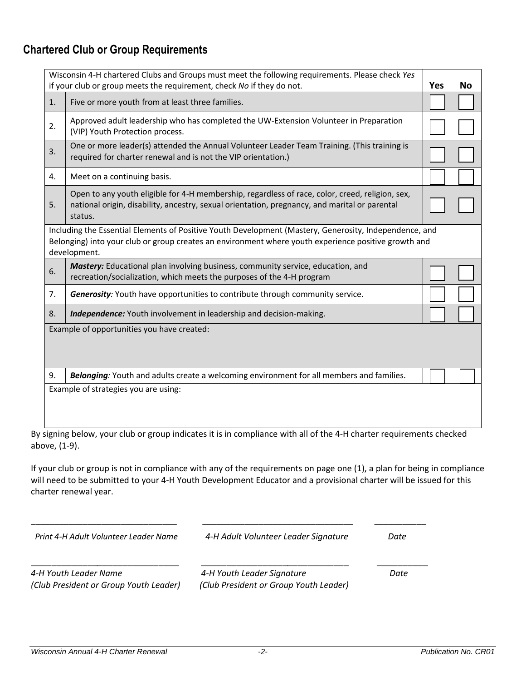## **Chartered Club or Group Requirements**

|    | Wisconsin 4-H chartered Clubs and Groups must meet the following requirements. Please check Yes<br>if your club or group meets the requirement, check No if they do not.                                                       | <b>Yes</b> | No |
|----|--------------------------------------------------------------------------------------------------------------------------------------------------------------------------------------------------------------------------------|------------|----|
| 1. | Five or more youth from at least three families.                                                                                                                                                                               |            |    |
| 2. | Approved adult leadership who has completed the UW-Extension Volunteer in Preparation<br>(VIP) Youth Protection process.                                                                                                       |            |    |
| 3. | One or more leader(s) attended the Annual Volunteer Leader Team Training. (This training is<br>required for charter renewal and is not the VIP orientation.)                                                                   |            |    |
| 4. | Meet on a continuing basis.                                                                                                                                                                                                    |            |    |
| 5. | Open to any youth eligible for 4-H membership, regardless of race, color, creed, religion, sex,<br>national origin, disability, ancestry, sexual orientation, pregnancy, and marital or parental<br>status.                    |            |    |
|    | Including the Essential Elements of Positive Youth Development (Mastery, Generosity, Independence, and<br>Belonging) into your club or group creates an environment where youth experience positive growth and<br>development. |            |    |
| 6. | Mastery: Educational plan involving business, community service, education, and<br>recreation/socialization, which meets the purposes of the 4-H program                                                                       |            |    |
| 7. | Generosity: Youth have opportunities to contribute through community service.                                                                                                                                                  |            |    |
| 8. | Independence: Youth involvement in leadership and decision-making.                                                                                                                                                             |            |    |
|    | Example of opportunities you have created:                                                                                                                                                                                     |            |    |
| 9. | Belonging: Youth and adults create a welcoming environment for all members and families.                                                                                                                                       |            |    |
|    | Example of strategies you are using:                                                                                                                                                                                           |            |    |

By signing below, your club or group indicates it is in compliance with all of the 4-H charter requirements checked above, (1-9).

If your club or group is not in compliance with any of the requirements on page one (1), a plan for being in compliance will need to be submitted to your 4-H Youth Development Educator and a provisional charter will be issued for this charter renewal year.

| Print 4-H Adult Volunteer Leader Name  | 4-H Adult Volunteer Leader Signature   | Date |
|----------------------------------------|----------------------------------------|------|
|                                        |                                        |      |
| 4-H Youth Leader Name                  | 4-H Youth Leader Signature             | Date |
| (Club President or Group Youth Leader) | (Club President or Group Youth Leader) |      |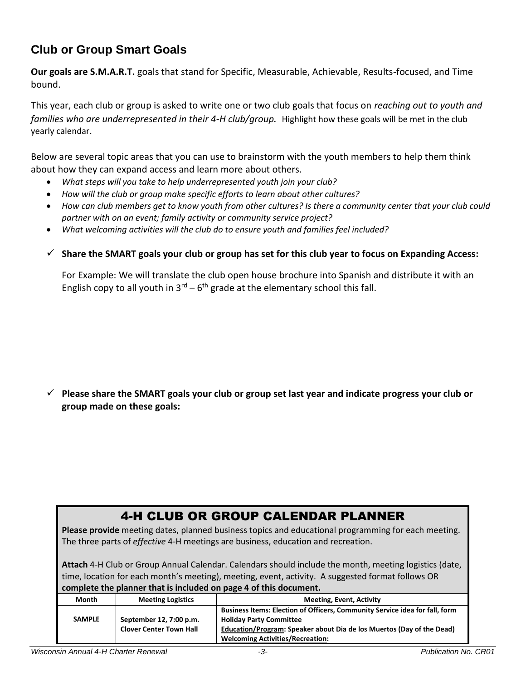### **Club or Group Smart Goals**

**Our goals are S.M.A.R.T.** goals that stand for Specific, Measurable, Achievable, Results-focused, and Time bound.

This year, each club or group is asked to write one or two club goals that focus on *reaching out to youth and families who are underrepresented in their 4-H club/group.* Highlight how these goals will be met in the club yearly calendar.

Below are several topic areas that you can use to brainstorm with the youth members to help them think about how they can expand access and learn more about others.

- *What steps will you take to help underrepresented youth join your club?*
- *How will the club or group make specific efforts to learn about other cultures?*
- *How can club members get to know youth from other cultures? Is there a community center that your club could partner with on an event; family activity or community service project?*
- *What welcoming activities will the club do to ensure youth and families feel included?*
- **Share the SMART goals your club or group has set for this club year to focus on Expanding Access:**

For Example: We will translate the club open house brochure into Spanish and distribute it with an English copy to all youth in  $3^{rd} - 6^{th}$  grade at the elementary school this fall.

 **Please share the SMART goals your club or group set last year and indicate progress your club or group made on these goals:**

### 4-H CLUB OR GROUP CALENDAR PLANNER

**Please provide** meeting dates, planned business topics and educational programming for each meeting. The three parts of *effective* 4-H meetings are business, education and recreation.

**Attach** 4-H Club or Group Annual Calendar. Calendars should include the month, meeting logistics (date, time, location for each month's meeting), meeting, event, activity. A suggested format follows OR **complete the planner that is included on page 4 of this document.**

| Month         | <b>Meeting Logistics</b>       | <b>Meeting, Event, Activity</b>                                                                               |  |  |
|---------------|--------------------------------|---------------------------------------------------------------------------------------------------------------|--|--|
| <b>SAMPLE</b> | September 12, 7:00 p.m.        | Business Items: Election of Officers, Community Service idea for fall, form<br><b>Holiday Party Committee</b> |  |  |
|               | <b>Clover Center Town Hall</b> | Education/Program: Speaker about Dia de los Muertos (Day of the Dead)                                         |  |  |
|               |                                | <b>Welcoming Activities/Recreation:</b>                                                                       |  |  |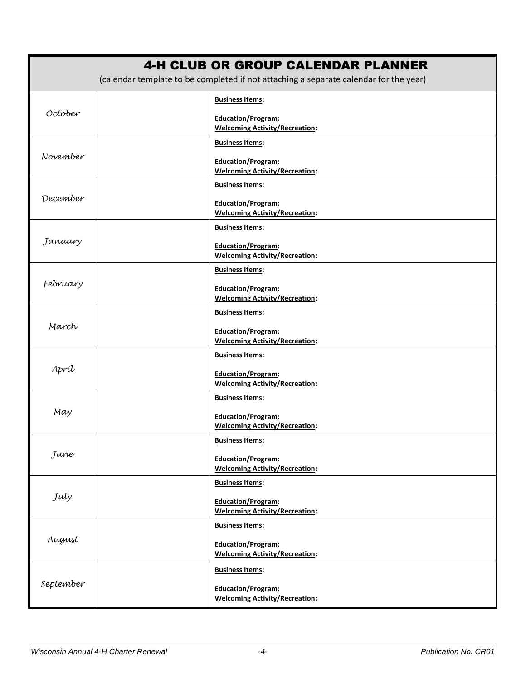|           | <b>4-H CLUB OR GROUP CALENDAR PLANNER</b><br>(calendar template to be completed if not attaching a separate calendar for the year) |
|-----------|------------------------------------------------------------------------------------------------------------------------------------|
|           | <b>Business Items:</b>                                                                                                             |
| October   | <b>Education/Program:</b><br><b>Welcoming Activity/Recreation:</b>                                                                 |
|           | <b>Business Items:</b>                                                                                                             |
| November  | Education/Program:<br><b>Welcoming Activity/Recreation:</b>                                                                        |
|           | <b>Business Items:</b>                                                                                                             |
| December  | Education/Program:<br><b>Welcoming Activity/Recreation:</b>                                                                        |
|           | <b>Business Items:</b>                                                                                                             |
| January   | Education/Program:<br><b>Welcoming Activity/Recreation:</b>                                                                        |
|           | <b>Business Items:</b>                                                                                                             |
| February  | Education/Program:<br><b>Welcoming Activity/Recreation:</b>                                                                        |
|           | <b>Business Items:</b>                                                                                                             |
| March     | <b>Education/Program:</b><br><b>Welcoming Activity/Recreation:</b>                                                                 |
|           | <b>Business Items:</b>                                                                                                             |
| Apríl     | Education/Program:<br><b>Welcoming Activity/Recreation:</b>                                                                        |
|           | <b>Business Items:</b>                                                                                                             |
| May       | Education/Program:<br><b>Welcoming Activity/Recreation:</b>                                                                        |
|           | <b>Business Items:</b>                                                                                                             |
| June      | <b>Education/Program:</b><br><b>Welcoming Activity/Recreation:</b>                                                                 |
|           | <b>Business Items:</b>                                                                                                             |
| July      | Education/Program:<br><b>Welcoming Activity/Recreation:</b>                                                                        |
|           | <b>Business Items:</b>                                                                                                             |
| August    | Education/Program:<br><b>Welcoming Activity/Recreation:</b>                                                                        |
|           | <b>Business Items:</b>                                                                                                             |
| September | Education/Program:<br><b>Welcoming Activity/Recreation:</b>                                                                        |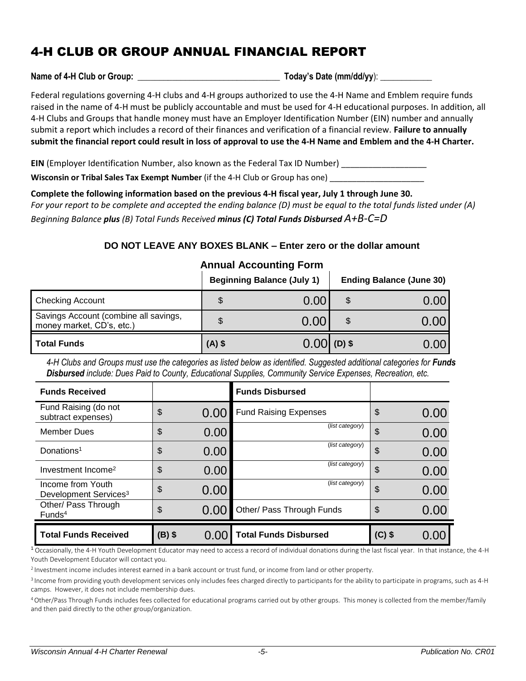## 4-H CLUB OR GROUP ANNUAL FINANCIAL REPORT

Name of 4-H Club or Group:  $\blacksquare$  **Today's Date (mm/dd/yy**):

#### Federal regulations governing 4-H clubs and 4-H groups authorized to use the 4-H Name and Emblem require funds raised in the name of 4-H must be publicly accountable and must be used for 4-H educational purposes. In addition, all 4-H Clubs and Groups that handle money must have an Employer Identification Number (EIN) number and annually submit a report which includes a record of their finances and verification of a financial review. **Failure to annually submit the financial report could result in loss of approval to use the 4-H Name and Emblem and the 4-H Charter.**

**EIN** (Employer Identification Number, also known as the Federal Tax ID Number)

**Wisconsin or Tribal Sales Tax Exempt Number** (if the 4-H Club or Group has one) \_\_\_\_\_\_

**Complete the following information based on the previous 4-H fiscal year, July 1 through June 30.**

*For your report to be complete and accepted the ending balance (D) must be equal to the total funds listed under (A) Beginning Balance plus (B) Total Funds Received minus (C) Total Funds Disbursed A+B-C=D*

### **DO NOT LEAVE ANY BOXES BLANK – Enter zero or the dollar amount**

#### **Annual Accounting Form**

|                                                                    |          | <b>Beginning Balance (July 1)</b> | <b>Ending Balance (June 30)</b> |
|--------------------------------------------------------------------|----------|-----------------------------------|---------------------------------|
| <b>Checking Account</b>                                            | \$       | 0.00                              | \$<br>0.00                      |
| Savings Account (combine all savings,<br>money market, CD's, etc.) |          | 0.00                              | 0.OC                            |
| Total Funds                                                        | $(A)$ \$ | $0.00$ (D) \$                     | 0.00                            |

4-H Clubs and Groups must use the categories as listed below as identified. Suggested additional categories for **Funds** *Disbursed include: Dues Paid to County, Educational Supplies, Community Service Expenses, Recreation, etc.*

| <b>Funds Received</b>                                  |          |      | <b>Funds Disbursed</b>       |          |      |
|--------------------------------------------------------|----------|------|------------------------------|----------|------|
| Fund Raising (do not<br>subtract expenses)             | \$       | 0.00 | <b>Fund Raising Expenses</b> | \$       | 0.00 |
| <b>Member Dues</b>                                     | \$       | 0.00 | (list category)              | \$       | 0.00 |
| Donations <sup>1</sup>                                 | \$       | 0.00 | (list category)              | \$       | 0.00 |
| Investment Income <sup>2</sup>                         | \$       | 0.00 | (list category)              | \$       | 0.00 |
| Income from Youth<br>Development Services <sup>3</sup> | \$       | 0.00 | (list category)              | \$       | 0.00 |
| Other/ Pass Through<br>Funds <sup>4</sup>              | \$       | 0.00 | Other/ Pass Through Funds    | \$       | 0.00 |
| <b>Total Funds Received</b>                            | $(B)$ \$ | 0.00 | <b>Total Funds Disbursed</b> | $(C)$ \$ | 0.00 |

<sup>1</sup>Occasionally, the 4-H Youth Development Educator may need to access a record of individual donations during the last fiscal year. In that instance, the 4-H Youth Development Educator will contact you.

<sup>2</sup> Investment income includes interest earned in a bank account or trust fund, or income from land or other property.

<sup>3</sup> Income from providing youth development services only includes fees charged directly to participants for the ability to participate in programs, such as 4-H camps. However, it does not include membership dues.

<sup>4</sup>Other/Pass Through Funds includes fees collected for educational programs carried out by other groups. This money is collected from the member/family and then paid directly to the other group/organization.